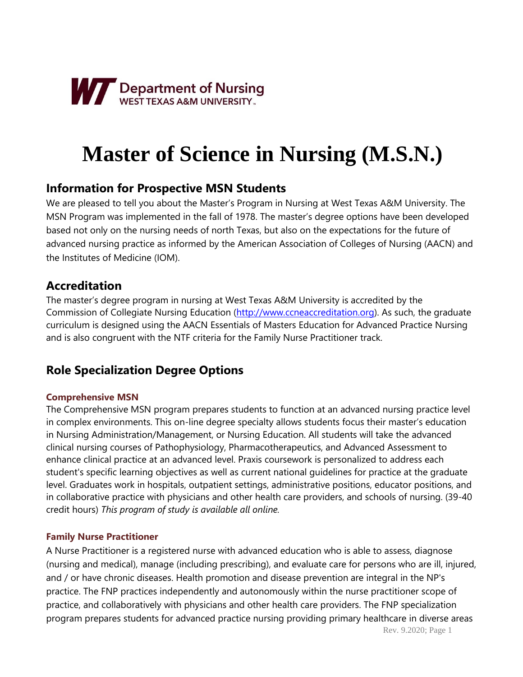

# **Master of Science in Nursing (M.S.N.)**

## **Information for Prospective MSN Students**

We are pleased to tell you about the Master's Program in Nursing at West Texas A&M University. The MSN Program was implemented in the fall of 1978. The master's degree options have been developed based not only on the nursing needs of north Texas, but also on the expectations for the future of advanced nursing practice as informed by the American Association of Colleges of Nursing (AACN) and the Institutes of Medicine (IOM).

## **Accreditation**

The master's degree program in nursing at West Texas A&M University is accredited by the Commission of Collegiate Nursing Education [\(http://www.ccneaccreditation.org\)](http://www.ccneaccreditation.org/). As such, the graduate curriculum is designed using the AACN Essentials of Masters Education for Advanced Practice Nursing and is also congruent with the NTF criteria for the Family Nurse Practitioner track.

# **Role Specialization Degree Options**

## **Comprehensive MSN**

The Comprehensive MSN program prepares students to function at an advanced nursing practice level in complex environments. This on-line degree specialty allows students focus their master's education in Nursing Administration/Management, or Nursing Education. All students will take the advanced clinical nursing courses of Pathophysiology, Pharmacotherapeutics, and Advanced Assessment to enhance clinical practice at an advanced level. Praxis coursework is personalized to address each student's specific learning objectives as well as current national guidelines for practice at the graduate level. Graduates work in hospitals, outpatient settings, administrative positions, educator positions, and in collaborative practice with physicians and other health care providers, and schools of nursing. (39-40 credit hours) *This program of study is available all online.*

## **Family Nurse Practitioner**

A Nurse Practitioner is a registered nurse with advanced education who is able to assess, diagnose (nursing and medical), manage (including prescribing), and evaluate care for persons who are ill, injured, and / or have chronic diseases. Health promotion and disease prevention are integral in the NP's practice. The FNP practices independently and autonomously within the nurse practitioner scope of practice, and collaboratively with physicians and other health care providers. The FNP specialization program prepares students for advanced practice nursing providing primary healthcare in diverse areas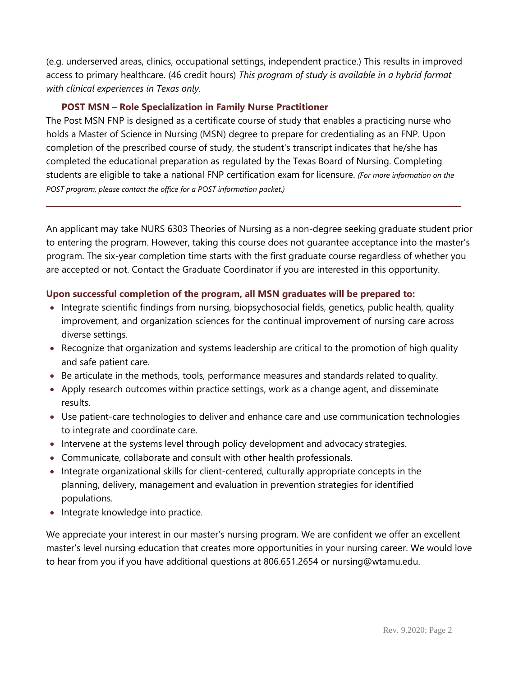(e.g. underserved areas, clinics, occupational settings, independent practice.) This results in improved access to primary healthcare. (46 credit hours) *This program of study is available in a hybrid format with clinical experiences in Texas only.*

#### **POST MSN – Role Specialization in Family Nurse Practitioner**

The Post MSN FNP is designed as a certificate course of study that enables a practicing nurse who holds a Master of Science in Nursing (MSN) degree to prepare for credentialing as an FNP. Upon completion of the prescribed course of study, the student's transcript indicates that he/she has completed the educational preparation as regulated by the Texas Board of Nursing. Completing students are eligible to take a national FNP certification exam for licensure. *(For more information on the POST program, please contact the office for a POST information packet.)*

An applicant may take NURS 6303 Theories of Nursing as a non-degree seeking graduate student prior to entering the program. However, taking this course does not guarantee acceptance into the master's program. The six-year completion time starts with the first graduate course regardless of whether you are accepted or not. Contact the Graduate Coordinator if you are interested in this opportunity.

#### **Upon successful completion of the program, all MSN graduates will be prepared to:**

- Integrate scientific findings from nursing, biopsychosocial fields, genetics, public health, quality improvement, and organization sciences for the continual improvement of nursing care across diverse settings.
- Recognize that organization and systems leadership are critical to the promotion of high quality and safe patient care.
- Be articulate in the methods, tools, performance measures and standards related to quality.
- Apply research outcomes within practice settings, work as a change agent, and disseminate results.
- Use patient-care technologies to deliver and enhance care and use communication technologies to integrate and coordinate care.
- Intervene at the systems level through policy development and advocacy strategies.
- Communicate, collaborate and consult with other health professionals.
- Integrate organizational skills for client-centered, culturally appropriate concepts in the planning, delivery, management and evaluation in prevention strategies for identified populations.
- Integrate knowledge into practice.

We appreciate your interest in our master's nursing program. We are confident we offer an excellent master's level nursing education that creates more opportunities in your nursing career. We would love to hear from you if you have additional questions at 806.651.2654 or [nursing@wtamu.edu.](mailto:nursing@wtamu.edu)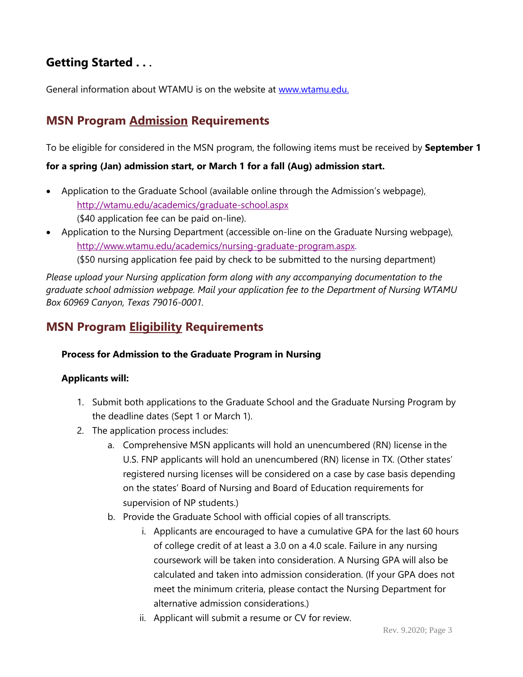# **Getting Started . . .**

General information about WTAMU is on the website at [www.wtamu.edu.](http://www.wtamu.edu./)

## **MSN Program Admission Requirements**

To be eligible for considered in the MSN program, the following items must be received by **September 1** 

### **for a spring (Jan) admission start, or March 1 for a fall (Aug) admission start.**

- Application to the Graduate School (available online through the Admission's webpage[\),](http://wtamu.edu/academics/graduate-school.aspx) <http://wtamu.edu/academics/graduate-school.aspx> (\$40 application fee can be paid on-line).
- Application to the Nursing Department (accessible on-line on the Graduate Nursing webpage), [http://www.wtamu.edu/academics/nursing-graduate-program.aspx.](http://www.wtamu.edu/academics/nursing-graduate-program.aspx) (\$50 nursing application fee paid by check to be submitted to the nursing department)

*Please upload your Nursing application form along with any accompanying documentation to the graduate school admission webpage. Mail your application fee to the Department of Nursing WTAMU Box 60969 Canyon, Texas 79016-0001.*

## **MSN Program Eligibility Requirements**

### **Process for Admission to the Graduate Program in Nursing**

### **Applicants will:**

- 1. Submit both applications to the Graduate School and the Graduate Nursing Program by the deadline dates (Sept 1 or March 1).
- 2. The application process includes:
	- a. Comprehensive MSN applicants will hold an unencumbered (RN) license in the U.S. FNP applicants will hold an unencumbered (RN) license in TX. (Other states' registered nursing licenses will be considered on a case by case basis depending on the states' Board of Nursing and Board of Education requirements for supervision of NP students.)
	- b. Provide the Graduate School with official copies of all transcripts.
		- i. Applicants are encouraged to have a cumulative GPA for the last 60 hours of college credit of at least a 3.0 on a 4.0 scale. Failure in any nursing coursework will be taken into consideration. A Nursing GPA will also be calculated and taken into admission consideration. (If your GPA does not meet the minimum criteria, please contact the Nursing Department for alternative admission considerations.)
		- ii. Applicant will submit a resume or CV for review.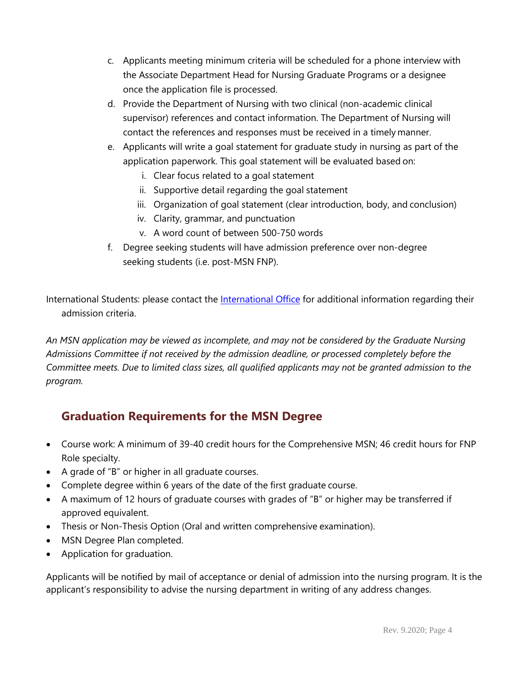- c. Applicants meeting minimum criteria will be scheduled for a phone interview with the Associate Department Head for Nursing Graduate Programs or a designee once the application file is processed.
- d. Provide the Department of Nursing with two clinical (non-academic clinical supervisor) references and contact information. The Department of Nursing will contact the references and responses must be received in a timely manner.
- e. Applicants will write a goal statement for graduate study in nursing as part of the application paperwork. This goal statement will be evaluated based on:
	- i. Clear focus related to a goal statement
	- ii. Supportive detail regarding the goal statement
	- iii. Organization of goal statement (clear introduction, body, and conclusion)
	- iv. Clarity, grammar, and punctuation
	- v. A word count of between 500-750 words
- f. Degree seeking students will have admission preference over non-degree seeking students (i.e. post-MSN FNP).

International Students: please contact the [International Office](http://wtamu.edu/student-support/international-student-office.aspx) for additional information regarding their admission criteria.

*An MSN application may be viewed as incomplete, and may not be considered by the Graduate Nursing Admissions Committee if not received by the admission deadline, or processed completely before the Committee meets. Due to limited class sizes, all qualified applicants may not be granted admission to the program.*

## **Graduation Requirements for the MSN Degree**

- Course work: A minimum of 39-40 credit hours for the Comprehensive MSN; 46 credit hours for FNP Role specialty.
- A grade of "B" or higher in all graduate courses.
- Complete degree within 6 years of the date of the first graduate course.
- A maximum of 12 hours of graduate courses with grades of "B" or higher may be transferred if approved equivalent.
- Thesis or Non-Thesis Option (Oral and written comprehensive examination).
- MSN Degree Plan completed.
- Application for graduation.

Applicants will be notified by mail of acceptance or denial of admission into the nursing program. It is the applicant's responsibility to advise the nursing department in writing of any address changes.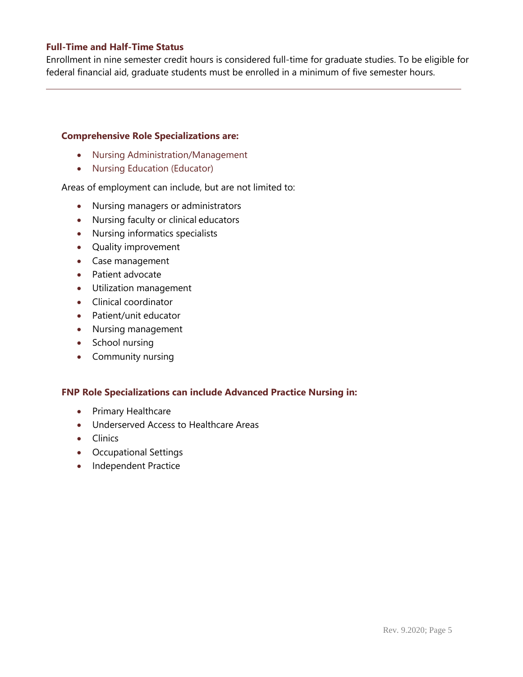#### **Full-Time and Half-Time Status**

Enrollment in nine semester credit hours is considered full-time for graduate studies. To be eligible for federal financial aid, graduate students must be enrolled in a minimum of five semester hours.

#### **Comprehensive Role Specializations are:**

- Nursing Administration/Management
- Nursing Education (Educator)

Areas of employment can include, but are not limited to:

- Nursing managers or administrators
- Nursing faculty or clinical educators
- Nursing informatics specialists
- Quality improvement
- Case management
- Patient advocate
- Utilization management
- Clinical coordinator
- Patient/unit educator
- Nursing management
- School nursing
- Community nursing

#### **FNP Role Specializations can include Advanced Practice Nursing in:**

- Primary Healthcare
- Underserved Access to Healthcare Areas
- Clinics
- Occupational Settings
- Independent Practice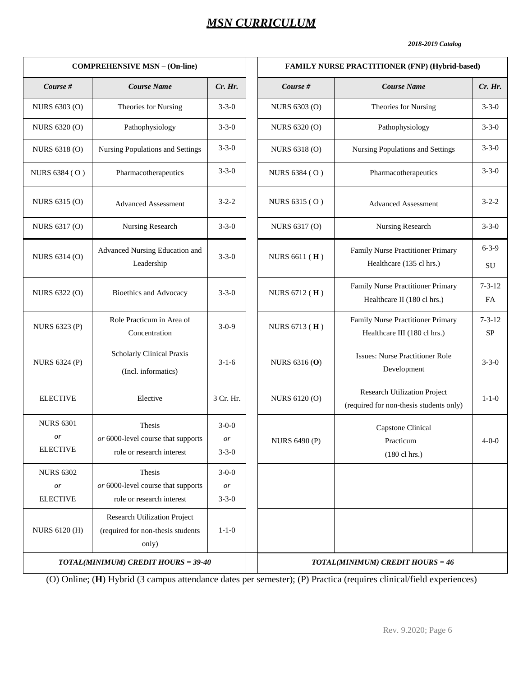## *MSN CURRICULUM*

#### *2018-2019 Catalog*

7-3-12 FA

7-3-12 SP

|                                           | <b>COMPREHENSIVE MSN - (On-line)</b>                                              |                                           | FAMILY NURSE PRACTITIONER (FNP) (Hybrid-based)                          |                                                                         |                     |  |  |  |  |
|-------------------------------------------|-----------------------------------------------------------------------------------|-------------------------------------------|-------------------------------------------------------------------------|-------------------------------------------------------------------------|---------------------|--|--|--|--|
| Course #                                  | <b>Course Name</b>                                                                | Cr. Hr.                                   | Course #                                                                | <b>Course Name</b>                                                      | Cr. Hr.             |  |  |  |  |
| NURS 6303 (O)                             | Theories for Nursing                                                              | $3 - 3 - 0$                               | NURS 6303 (O)                                                           | Theories for Nursing                                                    | $3 - 3 - 0$         |  |  |  |  |
| NURS 6320 (O)                             | Pathophysiology                                                                   | $3 - 3 - 0$                               | NURS 6320 (O)                                                           | Pathophysiology                                                         | $3 - 3 - 0$         |  |  |  |  |
| NURS 6318 (O)                             | <b>Nursing Populations and Settings</b>                                           | $3 - 3 - 0$                               | <b>NURS 6318 (O)</b>                                                    | Nursing Populations and Settings                                        | $3 - 3 - 0$         |  |  |  |  |
| NURS 6384 (O)                             | Pharmacotherapeutics                                                              | $3 - 3 - 0$                               | NURS 6384 (O)                                                           | Pharmacotherapeutics                                                    | $3 - 3 - 0$         |  |  |  |  |
| NURS 6315 (O)                             | <b>Advanced Assessment</b>                                                        | $3 - 2 - 2$                               | NURS 6315 (O)                                                           | <b>Advanced Assessment</b>                                              | $3 - 2 - 2$         |  |  |  |  |
| NURS 6317 (O)                             | Nursing Research                                                                  | $3 - 3 - 0$                               | NURS 6317 (O)                                                           | Nursing Research                                                        | $3 - 3 - 0$         |  |  |  |  |
| NURS 6314 (O)                             | Advanced Nursing Education and<br>Leadership                                      | $3 - 3 - 0$<br>NURS 6611 (H)              |                                                                         | Family Nurse Practitioner Primary<br>Healthcare (135 cl hrs.)           | $6 - 3 - 9$<br>SU   |  |  |  |  |
| NURS 6322 (O)                             | <b>Bioethics and Advocacy</b>                                                     | $3 - 3 - 0$                               | NURS 6712 (H)                                                           | Family Nurse Practitioner Primary<br>Healthcare II (180 cl hrs.)        | $7 - 3 - 12$<br>FA. |  |  |  |  |
| <b>NURS 6323 (P)</b>                      | Role Practicum in Area of<br>Concentration                                        | $3-0-9$                                   | NURS 6713 (H)                                                           | Family Nurse Practitioner Primary<br>Healthcare III (180 cl hrs.)       | $7 - 3 - 12$<br>SP  |  |  |  |  |
| <b>NURS 6324 (P)</b>                      | <b>Scholarly Clinical Praxis</b><br>(Incl. informatics)                           | $3-1-6$                                   | <b>NURS 6316 (O)</b>                                                    | <b>Issues: Nurse Practitioner Role</b><br>Development                   | $3 - 3 - 0$         |  |  |  |  |
| <b>ELECTIVE</b>                           | Elective                                                                          | 3 Cr. Hr.                                 | <b>NURS 6120 (O)</b>                                                    | Research Utilization Project<br>(required for non-thesis students only) | $1 - 1 - 0$         |  |  |  |  |
| <b>NURS 6301</b><br>or<br><b>ELECTIVE</b> | Thesis<br>or 6000-level course that supports<br>role or research interest         | $3-0-0$<br>or<br>$3 - 3 - 0$              | Capstone Clinical<br><b>NURS 6490 (P)</b><br>Practicum<br>(180 cl hrs.) |                                                                         | $4 - 0 - 0$         |  |  |  |  |
| <b>NURS 6302</b><br>or<br><b>ELECTIVE</b> | Thesis<br>or 6000-level course that supports<br>role or research interest         | $3 - 0 - 0$<br>$\emph{or}$<br>$3 - 3 - 0$ |                                                                         |                                                                         |                     |  |  |  |  |
| <b>NURS 6120 (H)</b>                      | <b>Research Utilization Project</b><br>(required for non-thesis students<br>only) | $1 - 1 - 0$                               |                                                                         |                                                                         |                     |  |  |  |  |
|                                           | TOTAL(MINIMUM) CREDIT HOURS = 39-40                                               |                                           |                                                                         | <b>TOTAL(MINIMUM) CREDIT HOURS = 46</b>                                 |                     |  |  |  |  |

(O) Online; (**H**) Hybrid (3 campus attendance dates per semester); (P) Practica (requires clinical/field experiences)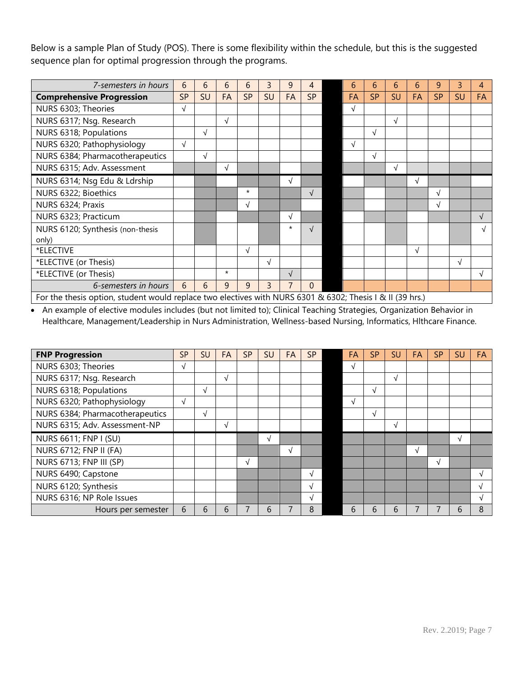Below is a sample Plan of Study (POS). There is some flexibility within the schedule, but this is the suggested sequence plan for optimal progression through the programs.

| 7-semesters in hours                                                                                      |            | 6          | 6          | 6          | 3              | 9         | 4          |  | 6         | 6          | 6          | 6         | 9          | 3          | 4          |
|-----------------------------------------------------------------------------------------------------------|------------|------------|------------|------------|----------------|-----------|------------|--|-----------|------------|------------|-----------|------------|------------|------------|
| <b>Comprehensive Progression</b>                                                                          |            | SU         | FA         | <b>SP</b>  | SU             | FA        | <b>SP</b>  |  | FA        | <b>SP</b>  | SU         | FA        | <b>SP</b>  | <b>SU</b>  | FA         |
| NURS 6303; Theories                                                                                       | $\sqrt{}$  |            |            |            |                |           |            |  | $\sqrt{}$ |            |            |           |            |            |            |
| NURS 6317; Nsg. Research                                                                                  |            |            | $\sqrt{ }$ |            |                |           |            |  |           |            | $\sqrt{ }$ |           |            |            |            |
| NURS 6318; Populations                                                                                    |            | $\sqrt{ }$ |            |            |                |           |            |  |           | $\sqrt{ }$ |            |           |            |            |            |
| NURS 6320; Pathophysiology                                                                                | $\sqrt{ }$ |            |            |            |                |           |            |  | $\sqrt{}$ |            |            |           |            |            |            |
| NURS 6384; Pharmacotherapeutics                                                                           |            | $\sqrt{ }$ |            |            |                |           |            |  |           | $\sqrt{ }$ |            |           |            |            |            |
| NURS 6315; Adv. Assessment                                                                                |            |            | $\sqrt{ }$ |            |                |           |            |  |           |            | $\sqrt{ }$ |           |            |            |            |
| NURS 6314; Nsq Edu & Ldrship                                                                              |            |            |            |            |                | $\sqrt{}$ |            |  |           |            |            | $\sqrt{}$ |            |            |            |
| NURS 6322; Bioethics                                                                                      |            |            |            | $\star$    |                |           | $\sqrt{ }$ |  |           |            |            |           | $\sqrt{}$  |            |            |
| NURS 6324; Praxis                                                                                         |            |            |            | $\sqrt{ }$ |                |           |            |  |           |            |            |           | $\sqrt{ }$ |            |            |
| NURS 6323; Practicum                                                                                      |            |            |            |            |                | $\sqrt{}$ |            |  |           |            |            |           |            |            | $\sqrt{ }$ |
| NURS 6120; Synthesis (non-thesis                                                                          |            |            |            |            |                | $^\star$  |            |  |           |            |            |           |            |            | J          |
| only)                                                                                                     |            |            |            |            |                |           |            |  |           |            |            |           |            |            |            |
| *ELECTIVE                                                                                                 |            |            |            | $\sqrt{ }$ |                |           |            |  |           |            |            | $\sqrt{}$ |            |            |            |
| *ELECTIVE (or Thesis)                                                                                     |            |            |            |            | $\sqrt{ }$     |           |            |  |           |            |            |           |            | $\sqrt{ }$ |            |
| *ELECTIVE (or Thesis)                                                                                     |            |            | $\star$    |            |                | $\sqrt{}$ |            |  |           |            |            |           |            |            | V          |
| 6-semesters in hours                                                                                      | 6          | 6          | 9          | 9          | $\overline{3}$ | 7         | $\Omega$   |  |           |            |            |           |            |            |            |
| For the thesis option, student would replace two electives with NURS 6301 & 6302; Thesis I & II (39 hrs.) |            |            |            |            |                |           |            |  |           |            |            |           |            |            |            |

 An example of elective modules includes (but not limited to); Clinical Teaching Strategies, Organization Behavior in Healthcare, Management/Leadership in Nurs Administration, Wellness-based Nursing, Informatics, Hlthcare Finance.

| <b>FNP Progression</b>          | <b>SP</b>  | <b>SU</b>  | <b>FA</b> | <b>SP</b> | SU | FA | <b>SP</b> | FA         | <b>SP</b> | SU         | FA. | <b>SP</b> | SU | <b>FA</b>  |
|---------------------------------|------------|------------|-----------|-----------|----|----|-----------|------------|-----------|------------|-----|-----------|----|------------|
| NURS 6303; Theories             |            |            |           |           |    |    |           | √          |           |            |     |           |    |            |
| NURS 6317; Nsg. Research        |            |            | V         |           |    |    |           |            |           | $\sqrt{ }$ |     |           |    |            |
| NURS 6318; Populations          |            | $\sqrt{ }$ |           |           |    |    |           |            | V         |            |     |           |    |            |
| NURS 6320; Pathophysiology      | $\sqrt{ }$ |            |           |           |    |    |           | $\sqrt{ }$ |           |            |     |           |    |            |
| NURS 6384; Pharmacotherapeutics |            | $\sqrt{ }$ |           |           |    |    |           |            | √         |            |     |           |    |            |
| NURS 6315; Adv. Assessment-NP   |            |            | N         |           |    |    |           |            |           |            |     |           |    |            |
| <b>NURS 6611; FNP I (SU)</b>    |            |            |           |           | √  |    |           |            |           |            |     |           | N  |            |
| <b>NURS 6712; FNP II (FA)</b>   |            |            |           |           |    | V  |           |            |           |            | V   |           |    |            |
| <b>NURS 6713; FNP III (SP)</b>  |            |            |           | V         |    |    |           |            |           |            |     | N         |    |            |
| NURS 6490; Capstone             |            |            |           |           |    |    | N         |            |           |            |     |           |    | V          |
| NURS 6120; Synthesis            |            |            |           |           |    |    | N         |            |           |            |     |           |    | $\sqrt{ }$ |
| NURS 6316; NP Role Issues       |            |            |           |           |    |    | N         |            |           |            |     |           |    | N          |
| Hours per semester              | 6          | 6          | 6         |           | 6  |    | 8         | 6          | 6         | 6          |     |           | 6  | 8          |